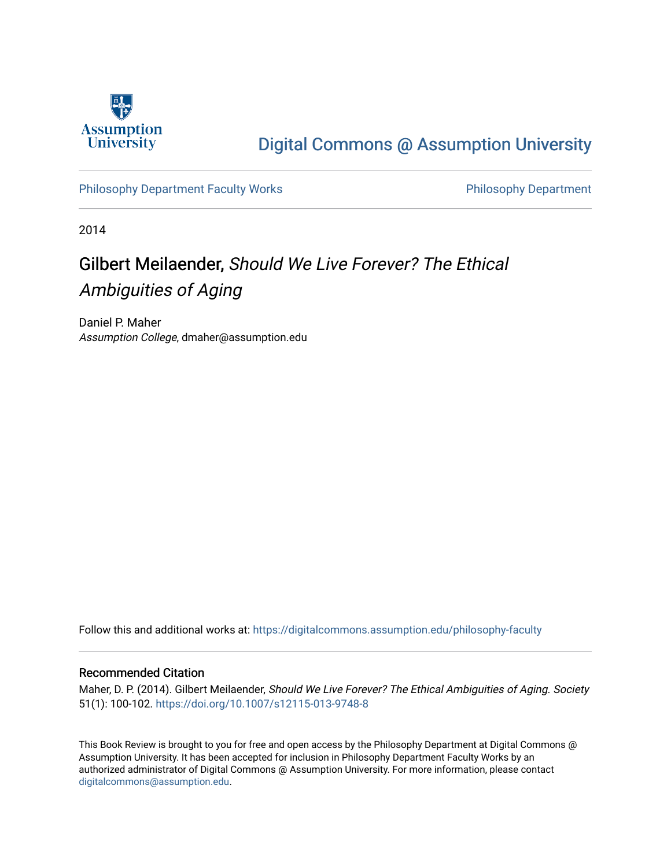

## [Digital Commons @ Assumption University](https://digitalcommons.assumption.edu/)

[Philosophy Department Faculty Works](https://digitalcommons.assumption.edu/philosophy-faculty) **Philosophy Department** 

2014

# Gilbert Meilaender, Should We Live Forever? The Ethical Ambiguities of Aging

Daniel P. Maher Assumption College, dmaher@assumption.edu

Follow this and additional works at: [https://digitalcommons.assumption.edu/philosophy-faculty](https://digitalcommons.assumption.edu/philosophy-faculty?utm_source=digitalcommons.assumption.edu%2Fphilosophy-faculty%2F24&utm_medium=PDF&utm_campaign=PDFCoverPages) 

### Recommended Citation

Maher, D. P. (2014). Gilbert Meilaender, Should We Live Forever? The Ethical Ambiguities of Aging. Society 51(1): 100-102.<https://doi.org/10.1007/s12115-013-9748-8>

This Book Review is brought to you for free and open access by the Philosophy Department at Digital Commons @ Assumption University. It has been accepted for inclusion in Philosophy Department Faculty Works by an authorized administrator of Digital Commons @ Assumption University. For more information, please contact [digitalcommons@assumption.edu](mailto:digitalcommons@assumption.edu).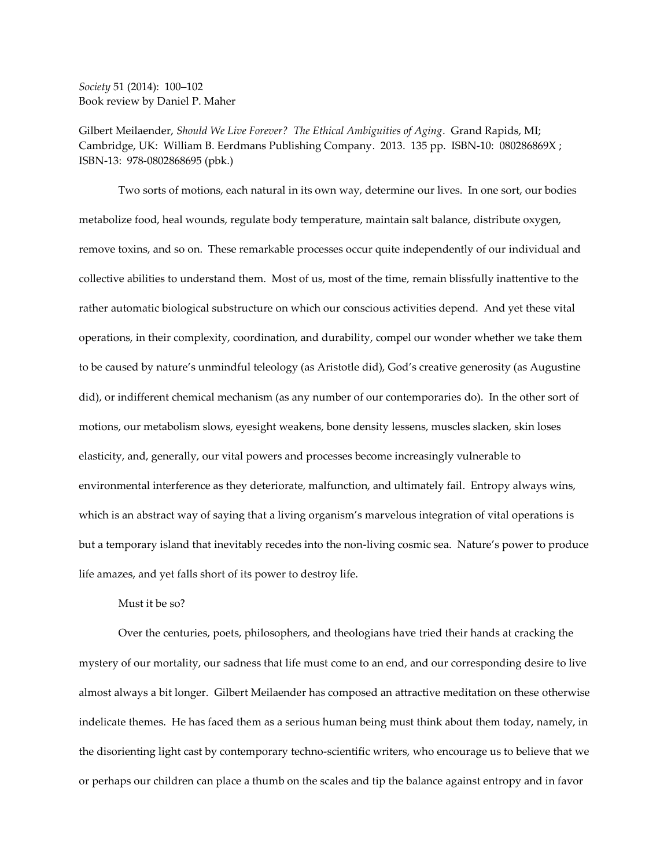*Society* 51 (2014): 100–102 Book review by Daniel P. Maher

Gilbert Meilaender, *Should We Live Forever? The Ethical Ambiguities of Aging*. Grand Rapids, MI; Cambridge, UK: William B. Eerdmans Publishing Company. 2013. 135 pp. ISBN-10: 080286869X ; ISBN-13: 978-0802868695 (pbk.)

Two sorts of motions, each natural in its own way, determine our lives. In one sort, our bodies metabolize food, heal wounds, regulate body temperature, maintain salt balance, distribute oxygen, remove toxins, and so on. These remarkable processes occur quite independently of our individual and collective abilities to understand them. Most of us, most of the time, remain blissfully inattentive to the rather automatic biological substructure on which our conscious activities depend. And yet these vital operations, in their complexity, coordination, and durability, compel our wonder whether we take them to be caused by nature's unmindful teleology (as Aristotle did), God's creative generosity (as Augustine did), or indifferent chemical mechanism (as any number of our contemporaries do). In the other sort of motions, our metabolism slows, eyesight weakens, bone density lessens, muscles slacken, skin loses elasticity, and, generally, our vital powers and processes become increasingly vulnerable to environmental interference as they deteriorate, malfunction, and ultimately fail. Entropy always wins, which is an abstract way of saying that a living organism's marvelous integration of vital operations is but a temporary island that inevitably recedes into the non-living cosmic sea. Nature's power to produce life amazes, and yet falls short of its power to destroy life.

#### Must it be so?

Over the centuries, poets, philosophers, and theologians have tried their hands at cracking the mystery of our mortality, our sadness that life must come to an end, and our corresponding desire to live almost always a bit longer. Gilbert Meilaender has composed an attractive meditation on these otherwise indelicate themes. He has faced them as a serious human being must think about them today, namely, in the disorienting light cast by contemporary techno-scientific writers, who encourage us to believe that we or perhaps our children can place a thumb on the scales and tip the balance against entropy and in favor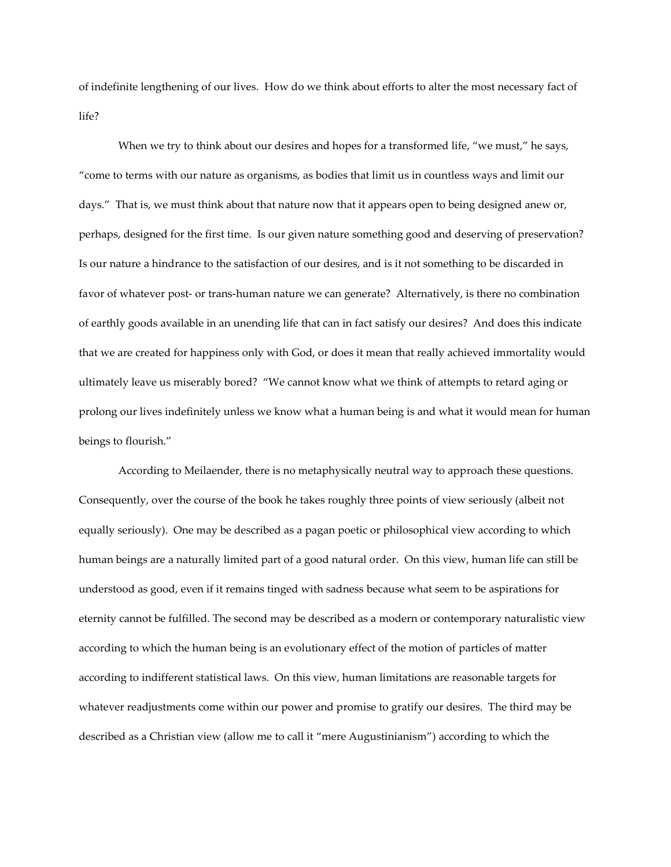of indefinite lengthening of our lives. How do we think about efforts to alter the most necessary fact of life?

When we try to think about our desires and hopes for a transformed life, "we must," he says, "come to terms with our nature as organisms, as bodies that limit us in countless ways and limit our days." That is, we must think about that nature now that it appears open to being designed anew or, perhaps, designed for the first time. Is our given nature something good and deserving of preservation? Is our nature a hindrance to the satisfaction of our desires, and is it not something to be discarded in favor of whatever post- or trans-human nature we can generate? Alternatively, is there no combination of earthly goods available in an unending life that can in fact satisfy our desires? And does this indicate that we are created for happiness only with God, or does it mean that really achieved immortality would ultimately leave us miserably bored? "We cannot know what we think of attempts to retard aging or prolong our lives indefinitely unless we know what a human being is and what it would mean for human beings to flourish."

According to Meilaender, there is no metaphysically neutral way to approach these questions. Consequently, over the course of the book he takes roughly three points of view seriously (albeit not equally seriously). One may be described as a pagan poetic or philosophical view according to which human beings are a naturally limited part of a good natural order. On this view, human life can still be understood as good, even if it remains tinged with sadness because what seem to be aspirations for eternity cannot be fulfilled. The second may be described as a modern or contemporary naturalistic view according to which the human being is an evolutionary effect of the motion of particles of matter according to indifferent statistical laws. On this view, human limitations are reasonable targets for whatever readjustments come within our power and promise to gratify our desires. The third may be described as a Christian view (allow me to call it "mere Augustinianism") according to which the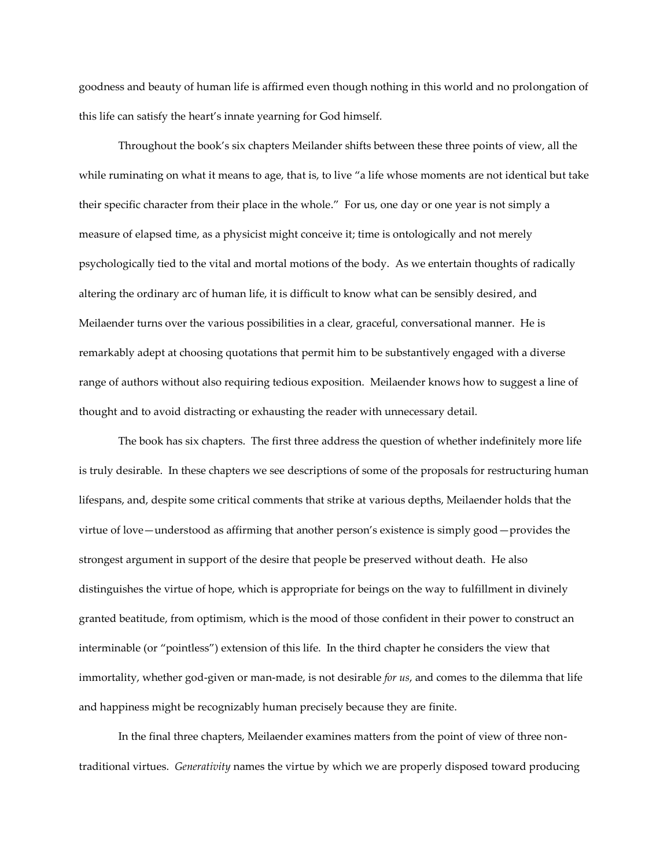goodness and beauty of human life is affirmed even though nothing in this world and no prolongation of this life can satisfy the heart's innate yearning for God himself.

Throughout the book's six chapters Meilander shifts between these three points of view, all the while ruminating on what it means to age, that is, to live "a life whose moments are not identical but take their specific character from their place in the whole." For us, one day or one year is not simply a measure of elapsed time, as a physicist might conceive it; time is ontologically and not merely psychologically tied to the vital and mortal motions of the body. As we entertain thoughts of radically altering the ordinary arc of human life, it is difficult to know what can be sensibly desired, and Meilaender turns over the various possibilities in a clear, graceful, conversational manner. He is remarkably adept at choosing quotations that permit him to be substantively engaged with a diverse range of authors without also requiring tedious exposition. Meilaender knows how to suggest a line of thought and to avoid distracting or exhausting the reader with unnecessary detail.

The book has six chapters. The first three address the question of whether indefinitely more life is truly desirable. In these chapters we see descriptions of some of the proposals for restructuring human lifespans, and, despite some critical comments that strike at various depths, Meilaender holds that the virtue of love—understood as affirming that another person's existence is simply good—provides the strongest argument in support of the desire that people be preserved without death. He also distinguishes the virtue of hope, which is appropriate for beings on the way to fulfillment in divinely granted beatitude, from optimism, which is the mood of those confident in their power to construct an interminable (or "pointless") extension of this life. In the third chapter he considers the view that immortality, whether god-given or man-made, is not desirable *for us*, and comes to the dilemma that life and happiness might be recognizably human precisely because they are finite.

In the final three chapters, Meilaender examines matters from the point of view of three nontraditional virtues. *Generativity* names the virtue by which we are properly disposed toward producing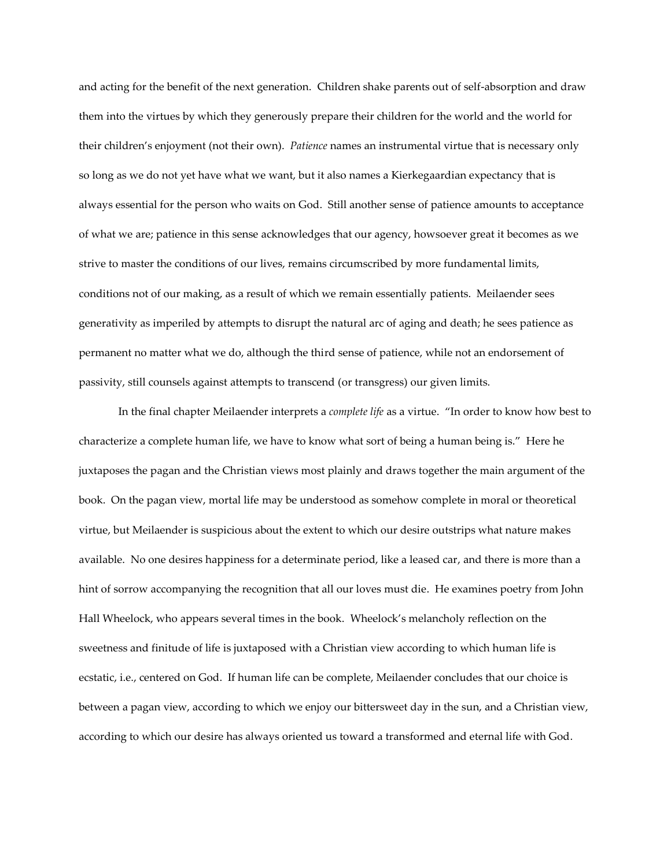and acting for the benefit of the next generation. Children shake parents out of self-absorption and draw them into the virtues by which they generously prepare their children for the world and the world for their children's enjoyment (not their own). *Patience* names an instrumental virtue that is necessary only so long as we do not yet have what we want, but it also names a Kierkegaardian expectancy that is always essential for the person who waits on God. Still another sense of patience amounts to acceptance of what we are; patience in this sense acknowledges that our agency, howsoever great it becomes as we strive to master the conditions of our lives, remains circumscribed by more fundamental limits, conditions not of our making, as a result of which we remain essentially patients. Meilaender sees generativity as imperiled by attempts to disrupt the natural arc of aging and death; he sees patience as permanent no matter what we do, although the third sense of patience, while not an endorsement of passivity, still counsels against attempts to transcend (or transgress) our given limits.

In the final chapter Meilaender interprets a *complete life* as a virtue. "In order to know how best to characterize a complete human life, we have to know what sort of being a human being is." Here he juxtaposes the pagan and the Christian views most plainly and draws together the main argument of the book. On the pagan view, mortal life may be understood as somehow complete in moral or theoretical virtue, but Meilaender is suspicious about the extent to which our desire outstrips what nature makes available. No one desires happiness for a determinate period, like a leased car, and there is more than a hint of sorrow accompanying the recognition that all our loves must die. He examines poetry from John Hall Wheelock, who appears several times in the book. Wheelock's melancholy reflection on the sweetness and finitude of life is juxtaposed with a Christian view according to which human life is ecstatic, i.e., centered on God. If human life can be complete, Meilaender concludes that our choice is between a pagan view, according to which we enjoy our bittersweet day in the sun, and a Christian view, according to which our desire has always oriented us toward a transformed and eternal life with God.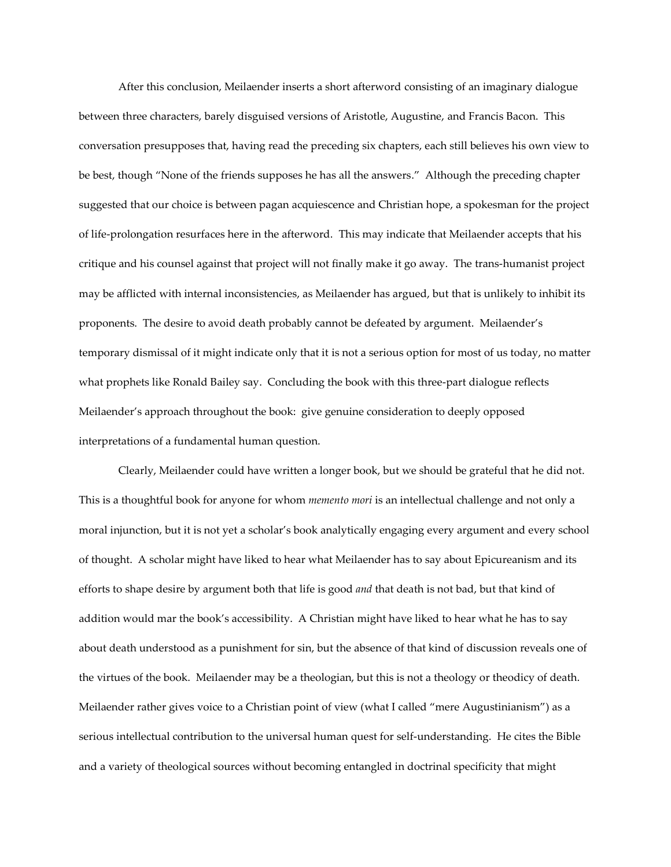After this conclusion, Meilaender inserts a short afterword consisting of an imaginary dialogue between three characters, barely disguised versions of Aristotle, Augustine, and Francis Bacon. This conversation presupposes that, having read the preceding six chapters, each still believes his own view to be best, though "None of the friends supposes he has all the answers." Although the preceding chapter suggested that our choice is between pagan acquiescence and Christian hope, a spokesman for the project of life-prolongation resurfaces here in the afterword. This may indicate that Meilaender accepts that his critique and his counsel against that project will not finally make it go away. The trans-humanist project may be afflicted with internal inconsistencies, as Meilaender has argued, but that is unlikely to inhibit its proponents. The desire to avoid death probably cannot be defeated by argument. Meilaender's temporary dismissal of it might indicate only that it is not a serious option for most of us today, no matter what prophets like Ronald Bailey say. Concluding the book with this three-part dialogue reflects Meilaender's approach throughout the book: give genuine consideration to deeply opposed interpretations of a fundamental human question.

Clearly, Meilaender could have written a longer book, but we should be grateful that he did not. This is a thoughtful book for anyone for whom *memento mori* is an intellectual challenge and not only a moral injunction, but it is not yet a scholar's book analytically engaging every argument and every school of thought. A scholar might have liked to hear what Meilaender has to say about Epicureanism and its efforts to shape desire by argument both that life is good *and* that death is not bad, but that kind of addition would mar the book's accessibility. A Christian might have liked to hear what he has to say about death understood as a punishment for sin, but the absence of that kind of discussion reveals one of the virtues of the book. Meilaender may be a theologian, but this is not a theology or theodicy of death. Meilaender rather gives voice to a Christian point of view (what I called "mere Augustinianism") as a serious intellectual contribution to the universal human quest for self-understanding. He cites the Bible and a variety of theological sources without becoming entangled in doctrinal specificity that might